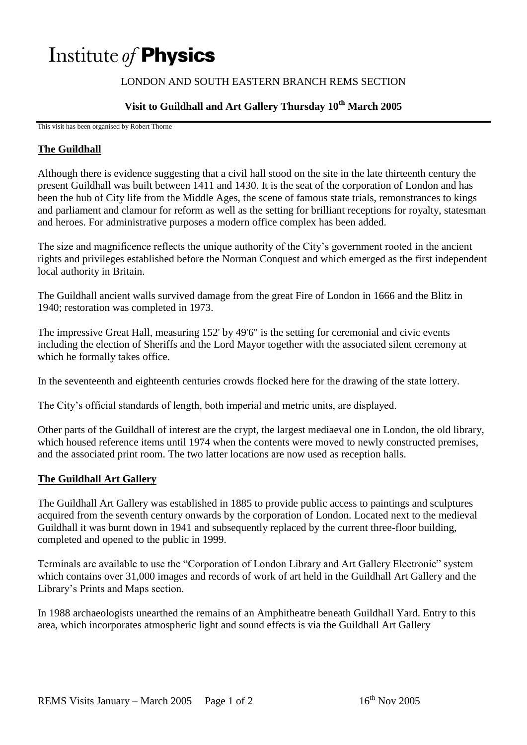# Institute of **Physics**

## LONDON AND SOUTH EASTERN BRANCH REMS SECTION

# **Visit to Guildhall and Art Gallery Thursday 10th March 2005**

This visit has been organised by Robert Thorne

### **The Guildhall**

Although there is evidence suggesting that a civil hall stood on the site in the late thirteenth century the present Guildhall was built between 1411 and 1430. It is the seat of the corporation of London and has been the hub of City life from the Middle Ages, the scene of famous state trials, remonstrances to kings and parliament and clamour for reform as well as the setting for brilliant receptions for royalty, statesman and heroes. For administrative purposes a modern office complex has been added.

The size and magnificence reflects the unique authority of the City's government rooted in the ancient rights and privileges established before the Norman Conquest and which emerged as the first independent local authority in Britain.

The Guildhall ancient walls survived damage from the great Fire of London in 1666 and the Blitz in 1940; restoration was completed in 1973.

The impressive Great Hall, measuring 152' by 49'6" is the setting for ceremonial and civic events including the election of Sheriffs and the Lord Mayor together with the associated silent ceremony at which he formally takes office.

In the seventeenth and eighteenth centuries crowds flocked here for the drawing of the state lottery.

The City's official standards of length, both imperial and metric units, are displayed.

Other parts of the Guildhall of interest are the crypt, the largest mediaeval one in London, the old library, which housed reference items until 1974 when the contents were moved to newly constructed premises, and the associated print room. The two latter locations are now used as reception halls.

#### **The Guildhall Art Gallery**

The Guildhall Art Gallery was established in 1885 to provide public access to paintings and sculptures acquired from the seventh century onwards by the corporation of London. Located next to the medieval Guildhall it was burnt down in 1941 and subsequently replaced by the current three-floor building, completed and opened to the public in 1999.

Terminals are available to use the "Corporation of London Library and Art Gallery Electronic" system which contains over 31,000 images and records of work of art held in the Guildhall Art Gallery and the Library's Prints and Maps section.

In 1988 archaeologists unearthed the remains of an Amphitheatre beneath Guildhall Yard. Entry to this area, which incorporates atmospheric light and sound effects is via the Guildhall Art Gallery